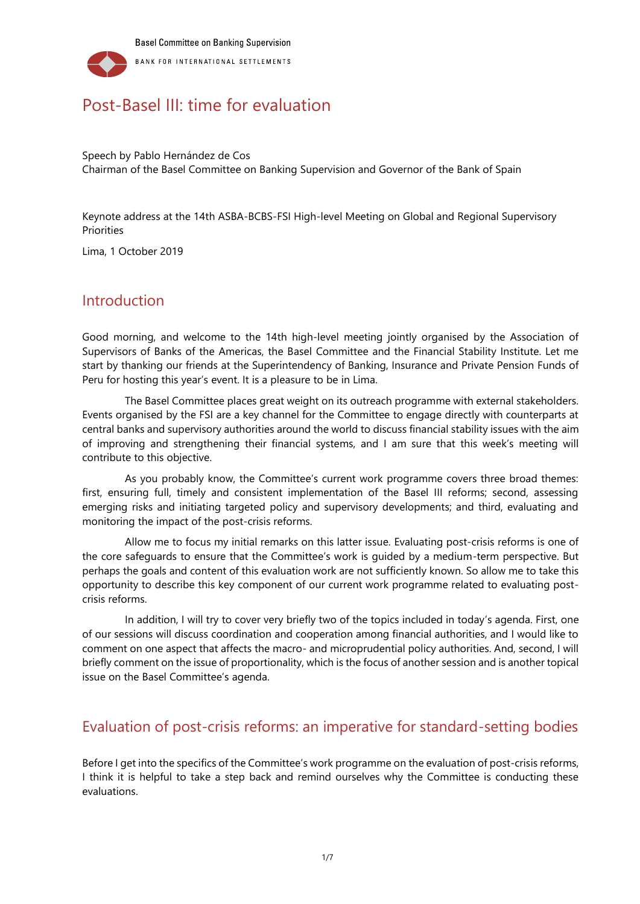

# Post-Basel III: time for evaluation

Speech by Pablo Hernández de Cos Chairman of the Basel Committee on Banking Supervision and Governor of the Bank of Spain

Keynote address at the 14th ASBA-BCBS-FSI High-level Meeting on Global and Regional Supervisory Priorities

Lima, 1 October 2019

#### Introduction

Good morning, and welcome to the 14th high-level meeting jointly organised by the Association of Supervisors of Banks of the Americas, the Basel Committee and the Financial Stability Institute. Let me start by thanking our friends at the Superintendency of Banking, Insurance and Private Pension Funds of Peru for hosting this year's event. It is a pleasure to be in Lima.

The Basel Committee places great weight on its outreach programme with external stakeholders. Events organised by the FSI are a key channel for the Committee to engage directly with counterparts at central banks and supervisory authorities around the world to discuss financial stability issues with the aim of improving and strengthening their financial systems, and I am sure that this week's meeting will contribute to this objective.

As you probably know, the Committee's current work programme covers three broad themes: first, ensuring full, timely and consistent implementation of the Basel III reforms; second, assessing emerging risks and initiating targeted policy and supervisory developments; and third, evaluating and monitoring the impact of the post-crisis reforms.

Allow me to focus my initial remarks on this latter issue. Evaluating post-crisis reforms is one of the core safeguards to ensure that the Committee's work is guided by a medium-term perspective. But perhaps the goals and content of this evaluation work are not sufficiently known. So allow me to take this opportunity to describe this key component of our current work programme related to evaluating postcrisis reforms.

In addition, I will try to cover very briefly two of the topics included in today's agenda. First, one of our sessions will discuss coordination and cooperation among financial authorities, and I would like to comment on one aspect that affects the macro- and microprudential policy authorities. And, second, I will briefly comment on the issue of proportionality, which is the focus of another session and is another topical issue on the Basel Committee's agenda.

## Evaluation of post-crisis reforms: an imperative for standard-setting bodies

Before I get into the specifics of the Committee's work programme on the evaluation of post-crisis reforms, I think it is helpful to take a step back and remind ourselves why the Committee is conducting these evaluations.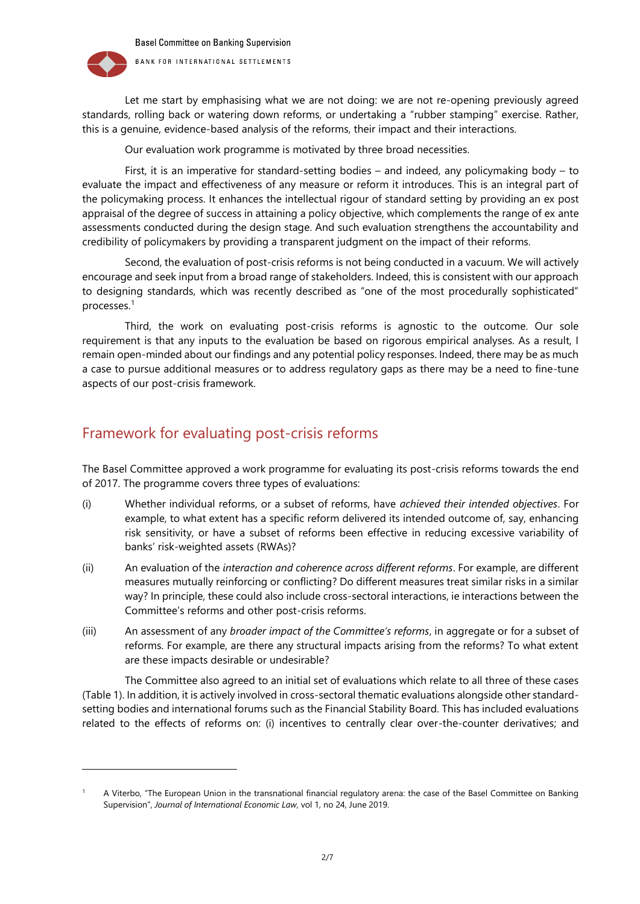

l

Let me start by emphasising what we are not doing: we are not re-opening previously agreed standards, rolling back or watering down reforms, or undertaking a "rubber stamping" exercise. Rather, this is a genuine, evidence-based analysis of the reforms, their impact and their interactions.

Our evaluation work programme is motivated by three broad necessities.

First, it is an imperative for standard-setting bodies – and indeed, any policymaking body – to evaluate the impact and effectiveness of any measure or reform it introduces. This is an integral part of the policymaking process. It enhances the intellectual rigour of standard setting by providing an ex post appraisal of the degree of success in attaining a policy objective, which complements the range of ex ante assessments conducted during the design stage. And such evaluation strengthens the accountability and credibility of policymakers by providing a transparent judgment on the impact of their reforms.

Second, the evaluation of post-crisis reforms is not being conducted in a vacuum. We will actively encourage and seek input from a broad range of stakeholders. Indeed, this is consistent with our approach to designing standards, which was recently described as "one of the most procedurally sophisticated" processes. 1

Third, the work on evaluating post-crisis reforms is agnostic to the outcome. Our sole requirement is that any inputs to the evaluation be based on rigorous empirical analyses. As a result, I remain open-minded about our findings and any potential policy responses. Indeed, there may be as much a case to pursue additional measures or to address regulatory gaps as there may be a need to fine-tune aspects of our post-crisis framework.

# Framework for evaluating post-crisis reforms

The Basel Committee approved a work programme for evaluating its post-crisis reforms towards the end of 2017. The programme covers three types of evaluations:

- (i) Whether individual reforms, or a subset of reforms, have *achieved their intended objectives*. For example, to what extent has a specific reform delivered its intended outcome of, say, enhancing risk sensitivity, or have a subset of reforms been effective in reducing excessive variability of banks' risk-weighted assets (RWAs)?
- (ii) An evaluation of the *interaction and coherence across different reforms*. For example, are different measures mutually reinforcing or conflicting? Do different measures treat similar risks in a similar way? In principle, these could also include cross-sectoral interactions, ie interactions between the Committee's reforms and other post-crisis reforms.
- (iii) An assessment of any *broader impact of the Committee's reforms*, in aggregate or for a subset of reforms. For example, are there any structural impacts arising from the reforms? To what extent are these impacts desirable or undesirable?

The Committee also agreed to an initial set of evaluations which relate to all three of these cases (Table 1). In addition, it is actively involved in cross-sectoral thematic evaluations alongside other standardsetting bodies and international forums such as the Financial Stability Board. This has included evaluations related to the effects of reforms on: (i) incentives to centrally clear over-the-counter derivatives; and

<sup>1</sup> A Viterbo, "The European Union in the transnational financial regulatory arena: the case of the Basel Committee on Banking Supervision", *Journal of International Economic Law*, vol 1, no 24, June 2019.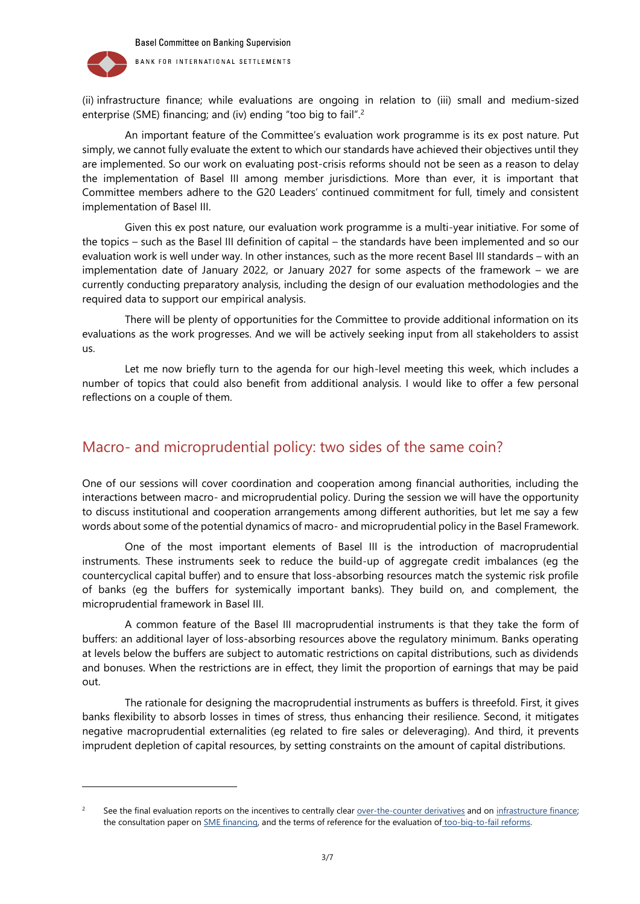

l

(ii) infrastructure finance; while evaluations are ongoing in relation to (iii) small and medium-sized enterprise (SME) financing; and (iv) ending "too big to fail". 2

An important feature of the Committee's evaluation work programme is its ex post nature. Put simply, we cannot fully evaluate the extent to which our standards have achieved their objectives until they are implemented. So our work on evaluating post-crisis reforms should not be seen as a reason to delay the implementation of Basel III among member jurisdictions. More than ever, it is important that Committee members adhere to the G20 Leaders' continued commitment for full, timely and consistent implementation of Basel III.

Given this ex post nature, our evaluation work programme is a multi-year initiative. For some of the topics – such as the Basel III definition of capital – the standards have been implemented and so our evaluation work is well under way. In other instances, such as the more recent Basel III standards – with an implementation date of January 2022, or January 2027 for some aspects of the framework – we are currently conducting preparatory analysis, including the design of our evaluation methodologies and the required data to support our empirical analysis.

There will be plenty of opportunities for the Committee to provide additional information on its evaluations as the work progresses. And we will be actively seeking input from all stakeholders to assist us.

Let me now briefly turn to the agenda for our high-level meeting this week, which includes a number of topics that could also benefit from additional analysis. I would like to offer a few personal reflections on a couple of them.

### Macro- and microprudential policy: two sides of the same coin?

One of our sessions will cover coordination and cooperation among financial authorities, including the interactions between macro- and microprudential policy. During the session we will have the opportunity to discuss institutional and cooperation arrangements among different authorities, but let me say a few words about some of the potential dynamics of macro- and microprudential policy in the Basel Framework.

One of the most important elements of Basel III is the introduction of macroprudential instruments. These instruments seek to reduce the build-up of aggregate credit imbalances (eg the countercyclical capital buffer) and to ensure that loss-absorbing resources match the systemic risk profile of banks (eg the buffers for systemically important banks). They build on, and complement, the microprudential framework in Basel III.

A common feature of the Basel III macroprudential instruments is that they take the form of buffers: an additional layer of loss-absorbing resources above the regulatory minimum. Banks operating at levels below the buffers are subject to automatic restrictions on capital distributions, such as dividends and bonuses. When the restrictions are in effect, they limit the proportion of earnings that may be paid out.

The rationale for designing the macroprudential instruments as buffers is threefold. First, it gives banks flexibility to absorb losses in times of stress, thus enhancing their resilience. Second, it mitigates negative macroprudential externalities (eg related to fire sales or deleveraging). And third, it prevents imprudent depletion of capital resources, by setting constraints on the amount of capital distributions.

<sup>&</sup>lt;sup>2</sup> See the final evaluation reports on the incentives to centrally clear <u>over-the-counter derivatives</u> and on infrastructure finance; the consultation paper o[n SME financing,](https://www.fsb.org/wp-content/uploads/P070619-1.pdf) and the terms of reference for the evaluation of too-big-to-fail reforms.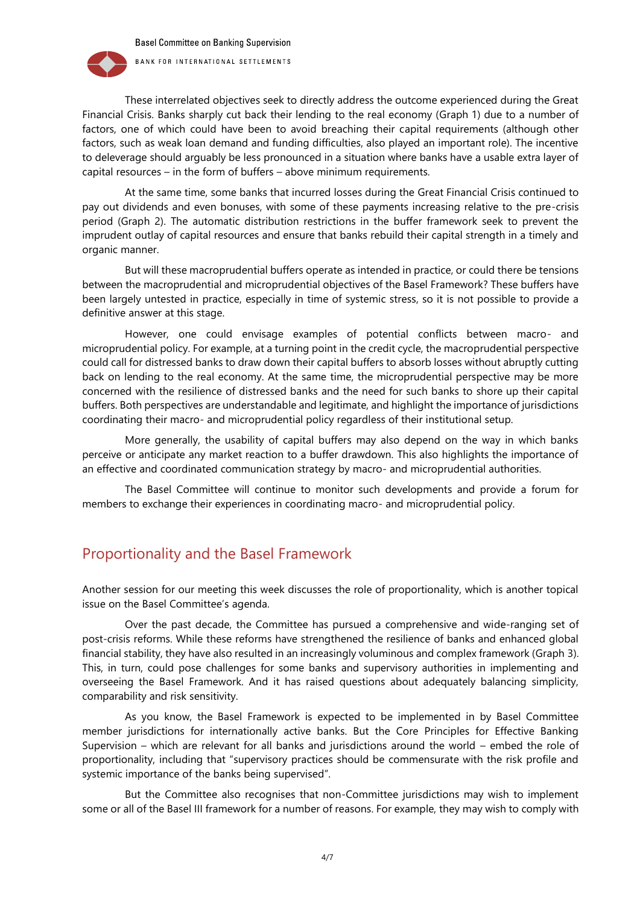**Basel Committee on Banking Supervision** 



BANK FOR INTERNATIONAL SETTLEMENTS

These interrelated objectives seek to directly address the outcome experienced during the Great Financial Crisis. Banks sharply cut back their lending to the real economy (Graph 1) due to a number of factors, one of which could have been to avoid breaching their capital requirements (although other factors, such as weak loan demand and funding difficulties, also played an important role). The incentive to deleverage should arguably be less pronounced in a situation where banks have a usable extra layer of capital resources – in the form of buffers – above minimum requirements.

At the same time, some banks that incurred losses during the Great Financial Crisis continued to pay out dividends and even bonuses, with some of these payments increasing relative to the pre-crisis period (Graph 2). The automatic distribution restrictions in the buffer framework seek to prevent the imprudent outlay of capital resources and ensure that banks rebuild their capital strength in a timely and organic manner.

But will these macroprudential buffers operate as intended in practice, or could there be tensions between the macroprudential and microprudential objectives of the Basel Framework? These buffers have been largely untested in practice, especially in time of systemic stress, so it is not possible to provide a definitive answer at this stage.

However, one could envisage examples of potential conflicts between macro- and microprudential policy. For example, at a turning point in the credit cycle, the macroprudential perspective could call for distressed banks to draw down their capital buffers to absorb losses without abruptly cutting back on lending to the real economy. At the same time, the microprudential perspective may be more concerned with the resilience of distressed banks and the need for such banks to shore up their capital buffers. Both perspectives are understandable and legitimate, and highlight the importance of jurisdictions coordinating their macro- and microprudential policy regardless of their institutional setup.

More generally, the usability of capital buffers may also depend on the way in which banks perceive or anticipate any market reaction to a buffer drawdown. This also highlights the importance of an effective and coordinated communication strategy by macro- and microprudential authorities.

The Basel Committee will continue to monitor such developments and provide a forum for members to exchange their experiences in coordinating macro- and microprudential policy.

# Proportionality and the Basel Framework

Another session for our meeting this week discusses the role of proportionality, which is another topical issue on the Basel Committee's agenda.

Over the past decade, the Committee has pursued a comprehensive and wide-ranging set of post-crisis reforms. While these reforms have strengthened the resilience of banks and enhanced global financial stability, they have also resulted in an increasingly voluminous and complex framework (Graph 3). This, in turn, could pose challenges for some banks and supervisory authorities in implementing and overseeing the Basel Framework. And it has raised questions about adequately balancing simplicity, comparability and risk sensitivity.

As you know, the Basel Framework is expected to be implemented in by Basel Committee member jurisdictions for internationally active banks. But the Core Principles for Effective Banking Supervision – which are relevant for all banks and jurisdictions around the world – embed the role of proportionality, including that "supervisory practices should be commensurate with the risk profile and systemic importance of the banks being supervised".

But the Committee also recognises that non-Committee jurisdictions may wish to implement some or all of the Basel III framework for a number of reasons. For example, they may wish to comply with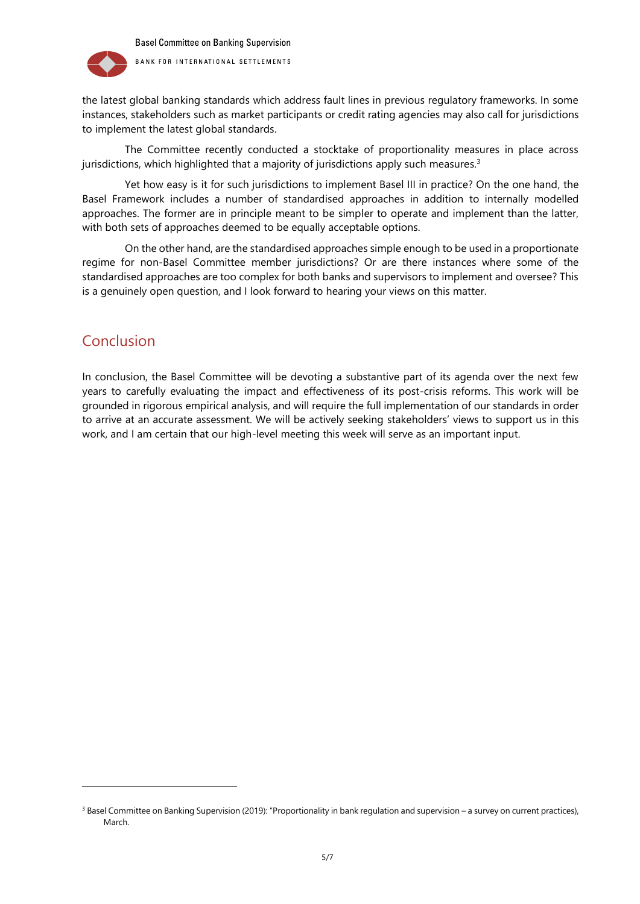

BANK FOR INTERNATIONAL SETTLEMENTS

the latest global banking standards which address fault lines in previous regulatory frameworks. In some instances, stakeholders such as market participants or credit rating agencies may also call for jurisdictions to implement the latest global standards.

The Committee recently conducted a stocktake of proportionality measures in place across jurisdictions, which highlighted that a majority of jurisdictions apply such measures. 3

Yet how easy is it for such jurisdictions to implement Basel III in practice? On the one hand, the Basel Framework includes a number of standardised approaches in addition to internally modelled approaches. The former are in principle meant to be simpler to operate and implement than the latter, with both sets of approaches deemed to be equally acceptable options.

On the other hand, are the standardised approaches simple enough to be used in a proportionate regime for non-Basel Committee member jurisdictions? Or are there instances where some of the standardised approaches are too complex for both banks and supervisors to implement and oversee? This is a genuinely open question, and I look forward to hearing your views on this matter.

# Conclusion

l

In conclusion, the Basel Committee will be devoting a substantive part of its agenda over the next few years to carefully evaluating the impact and effectiveness of its post-crisis reforms. This work will be grounded in rigorous empirical analysis, and will require the full implementation of our standards in order to arrive at an accurate assessment. We will be actively seeking stakeholders' views to support us in this work, and I am certain that our high-level meeting this week will serve as an important input.

<sup>&</sup>lt;sup>3</sup> Basel Committee on Banking Supervision (2019): "Proportionality in bank regulation and supervision – a survey on current practices), March.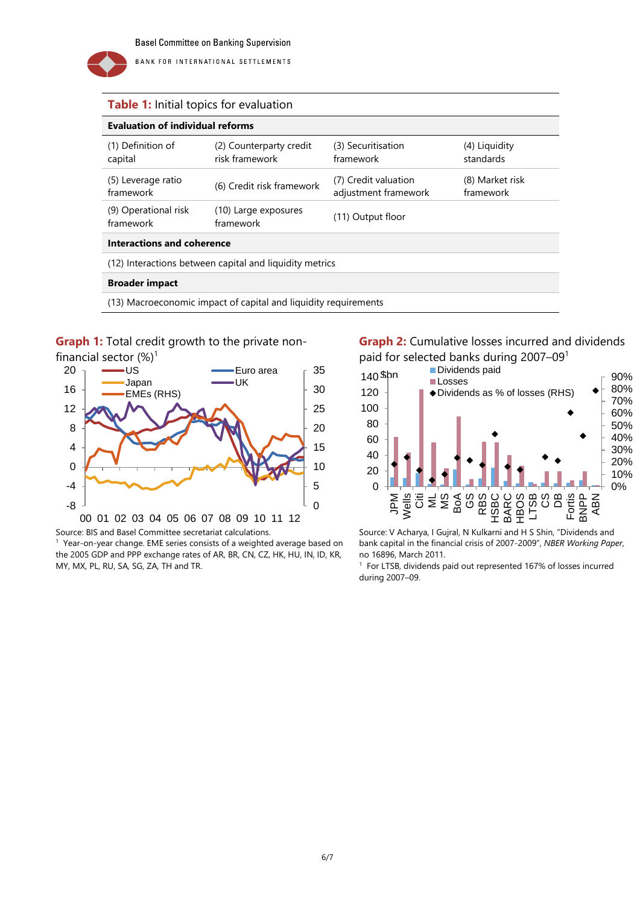

BANK FOR INTERNATIONAL SETTLEMENTS

#### **Table 1:** Initial topics for evaluation

| <b>Evaluation of individual reforms</b>                         |                                           |                                              |                              |
|-----------------------------------------------------------------|-------------------------------------------|----------------------------------------------|------------------------------|
| (1) Definition of<br>capital                                    | (2) Counterparty credit<br>risk framework | (3) Securitisation<br>framework              | (4) Liquidity<br>standards   |
| (5) Leverage ratio<br>framework                                 | (6) Credit risk framework                 | (7) Credit valuation<br>adjustment framework | (8) Market risk<br>framework |
| (9) Operational risk<br>framework                               | (10) Large exposures<br>framework         | (11) Output floor                            |                              |
| Interactions and coherence                                      |                                           |                                              |                              |
| (12) Interactions between capital and liquidity metrics         |                                           |                                              |                              |
| <b>Broader impact</b>                                           |                                           |                                              |                              |
| (13) Macroeconomic impact of capital and liquidity requirements |                                           |                                              |                              |

#### **Graph 1:** Total credit growth to the private non-



Source: BIS and Basel Committee secretariat calculations.

1 Year-on-year change. EME series consists of a weighted average based on the 2005 GDP and PPP exchange rates of AR, BR, CN, CZ, HK, HU, IN, ID, KR, MY, MX, PL, RU, SA, SG, ZA, TH and TR.

**Graph 2:** Cumulative losses incurred and dividends paid for selected banks during 2007–09<sup>1</sup>



Source: V Acharya, I Gujral, N Kulkarni and H S Shin, "Dividends and bank capital in the financial crisis of 2007-2009", *NBER Working Paper*, no 16896, March 2011.

<sup>1</sup> For LTSB, dividends paid out represented 167% of losses incurred during 2007–09.